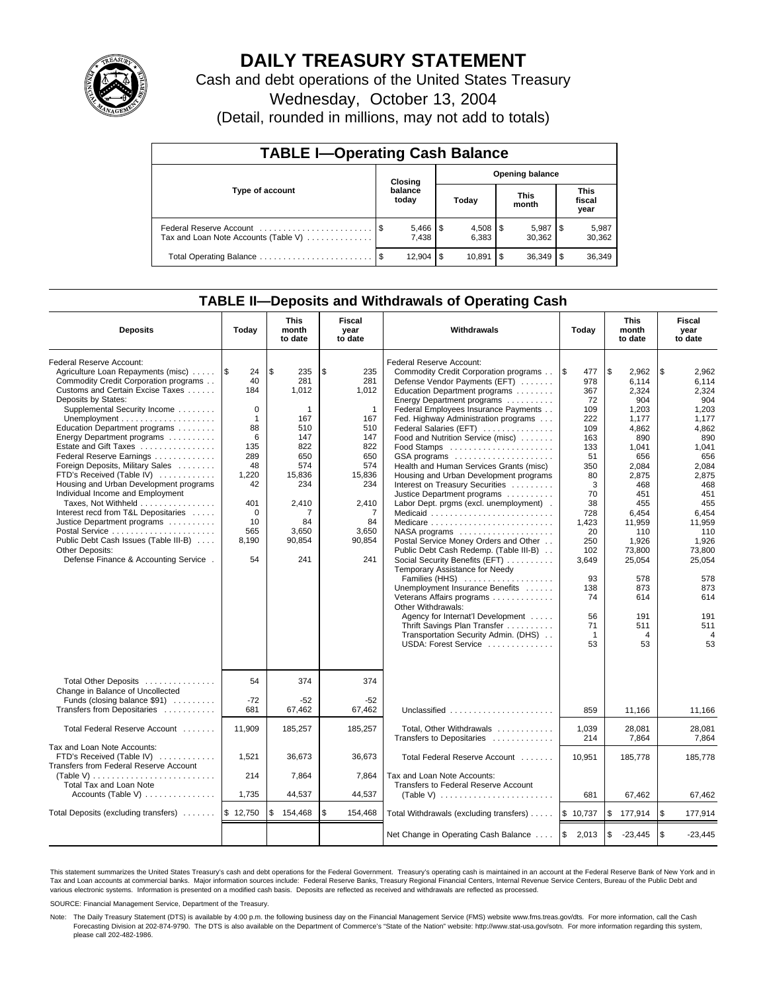

# **DAILY TREASURY STATEMENT**

Cash and debt operations of the United States Treasury

Wednesday, October 13, 2004

(Detail, rounded in millions, may not add to totals)

| <b>TABLE I-Operating Cash Balance</b>                           |      |                       |                        |        |                      |                 |                               |                 |  |
|-----------------------------------------------------------------|------|-----------------------|------------------------|--------|----------------------|-----------------|-------------------------------|-----------------|--|
|                                                                 |      | Closing               | <b>Opening balance</b> |        |                      |                 |                               |                 |  |
| Type of account                                                 |      | balance<br>today      | Today                  |        | <b>This</b><br>month |                 | <b>This</b><br>fiscal<br>year |                 |  |
| Federal Reserve Account<br>Tax and Loan Note Accounts (Table V) |      | $5,466$   \$<br>7.438 |                        | 6.383  |                      | 5,987<br>30.362 |                               | 5,987<br>30,362 |  |
| Total Operating Balance                                         | - \$ | 12.904                | \$                     | 10.891 | 1\$                  | 36,349          |                               | 36,349          |  |

### **TABLE II—Deposits and Withdrawals of Operating Cash**

| <b>Deposits</b>                                                                                                                                                                                                                                                                                                                                                                                                                                                                                                                                                                                                                                                          | Today                                                                                                                                                 | <b>This</b><br>month<br>to date                                                                                                         | <b>Fiscal</b><br>year<br>to date                                                                                                                   | <b>Withdrawals</b>                                                                                                                                                                                                                                                                                                                                                                                                                                                                                                                                                                                                                                                                                                                                                                                                                                                                                                                                                                 | Today                                                                                                                                                                                                    | <b>This</b><br>month<br>to date                                                                                                                                                                                                    | Fiscal<br>year<br>to date                                                                                                                                                                                                                       |
|--------------------------------------------------------------------------------------------------------------------------------------------------------------------------------------------------------------------------------------------------------------------------------------------------------------------------------------------------------------------------------------------------------------------------------------------------------------------------------------------------------------------------------------------------------------------------------------------------------------------------------------------------------------------------|-------------------------------------------------------------------------------------------------------------------------------------------------------|-----------------------------------------------------------------------------------------------------------------------------------------|----------------------------------------------------------------------------------------------------------------------------------------------------|------------------------------------------------------------------------------------------------------------------------------------------------------------------------------------------------------------------------------------------------------------------------------------------------------------------------------------------------------------------------------------------------------------------------------------------------------------------------------------------------------------------------------------------------------------------------------------------------------------------------------------------------------------------------------------------------------------------------------------------------------------------------------------------------------------------------------------------------------------------------------------------------------------------------------------------------------------------------------------|----------------------------------------------------------------------------------------------------------------------------------------------------------------------------------------------------------|------------------------------------------------------------------------------------------------------------------------------------------------------------------------------------------------------------------------------------|-------------------------------------------------------------------------------------------------------------------------------------------------------------------------------------------------------------------------------------------------|
| Federal Reserve Account:<br>Agriculture Loan Repayments (misc)<br>Commodity Credit Corporation programs<br>Customs and Certain Excise Taxes<br>Deposits by States:<br>Supplemental Security Income<br>Education Department programs<br>Energy Department programs<br>Estate and Gift Taxes<br>Federal Reserve Earnings<br>Foreign Deposits, Military Sales<br>FTD's Received (Table IV)<br>Housing and Urban Development programs<br>Individual Income and Employment<br>Taxes, Not Withheld<br>Interest recd from T&L Depositaries<br>Justice Department programs<br>Public Debt Cash Issues (Table III-B)<br>Other Deposits:<br>Defense Finance & Accounting Service . | 1\$<br>24<br>40<br>184<br>$\mathbf 0$<br>$\mathbf{1}$<br>88<br>6<br>135<br>289<br>48<br>1,220<br>42<br>401<br>$\mathbf 0$<br>10<br>565<br>8,190<br>54 | \$<br>235<br>281<br>1,012<br>1<br>167<br>510<br>147<br>822<br>650<br>574<br>15,836<br>234<br>2,410<br>7<br>84<br>3,650<br>90,854<br>241 | \$<br>235<br>281<br>1,012<br>$\mathbf{1}$<br>167<br>510<br>147<br>822<br>650<br>574<br>15,836<br>234<br>2,410<br>7<br>84<br>3,650<br>90,854<br>241 | Federal Reserve Account:<br>Commodity Credit Corporation programs<br>Defense Vendor Payments (EFT)<br>Education Department programs<br>Energy Department programs<br>Federal Employees Insurance Payments<br>Fed. Highway Administration programs<br>Federal Salaries (EFT)<br>Food and Nutrition Service (misc)<br>Food Stamps<br>GSA programs<br>Health and Human Services Grants (misc)<br>Housing and Urban Development programs<br>Interest on Treasury Securities<br>Justice Department programs<br>Labor Dept. prgms (excl. unemployment).<br>Medicaid<br>NASA programs<br>Postal Service Money Orders and Other<br>Public Debt Cash Redemp. (Table III-B)<br>Social Security Benefits (EFT)<br>Temporary Assistance for Needy<br>Families (HHS)<br>Unemployment Insurance Benefits<br>Veterans Affairs programs<br>Other Withdrawals:<br>Agency for Internat'l Development<br>Thrift Savings Plan Transfer<br>Transportation Security Admin. (DHS)<br>USDA: Forest Service | l \$<br>477<br>978<br>367<br>72<br>109<br>222<br>109<br>163<br>133<br>51<br>350<br>80<br>3<br>70<br>38<br>728<br>1,423<br>20<br>250<br>102<br>3,649<br>93<br>138<br>74<br>56<br>71<br>$\mathbf{1}$<br>53 | \$<br>2.962<br>6.114<br>2,324<br>904<br>1,203<br>1,177<br>4.862<br>890<br>1.041<br>656<br>2,084<br>2,875<br>468<br>451<br>455<br>6,454<br>11,959<br>110<br>1,926<br>73,800<br>25,054<br>578<br>873<br>614<br>191<br>511<br>4<br>53 | \$<br>2.962<br>6.114<br>2,324<br>904<br>1,203<br>1,177<br>4.862<br>890<br>1,041<br>656<br>2,084<br>2,875<br>468<br>451<br>455<br>6,454<br>11,959<br>110<br>1,926<br>73.800<br>25,054<br>578<br>873<br>614<br>191<br>511<br>$\overline{4}$<br>53 |
| Total Other Deposits<br>Change in Balance of Uncollected<br>Funds (closing balance \$91)<br>Transfers from Depositaries                                                                                                                                                                                                                                                                                                                                                                                                                                                                                                                                                  | 54<br>$-72$<br>681                                                                                                                                    | 374<br>$-52$<br>67,462                                                                                                                  | 374<br>-52<br>67,462                                                                                                                               | Unclassified                                                                                                                                                                                                                                                                                                                                                                                                                                                                                                                                                                                                                                                                                                                                                                                                                                                                                                                                                                       | 859                                                                                                                                                                                                      | 11,166                                                                                                                                                                                                                             | 11,166                                                                                                                                                                                                                                          |
| Total Federal Reserve Account                                                                                                                                                                                                                                                                                                                                                                                                                                                                                                                                                                                                                                            | 11,909                                                                                                                                                | 185,257                                                                                                                                 | 185,257                                                                                                                                            | Total, Other Withdrawals                                                                                                                                                                                                                                                                                                                                                                                                                                                                                                                                                                                                                                                                                                                                                                                                                                                                                                                                                           | 1,039<br>214                                                                                                                                                                                             | 28,081<br>7.864                                                                                                                                                                                                                    | 28.081<br>7.864                                                                                                                                                                                                                                 |
| Tax and Loan Note Accounts:<br>FTD's Received (Table IV)<br>Transfers from Federal Reserve Account<br>(Table V)<br>Total Tax and Loan Note<br>Accounts (Table V)                                                                                                                                                                                                                                                                                                                                                                                                                                                                                                         | 1,521<br>214<br>1,735                                                                                                                                 | 36,673<br>7,864<br>44,537                                                                                                               | 36,673<br>7,864<br>44,537                                                                                                                          | Transfers to Depositaries<br>Total Federal Reserve Account<br>Tax and Loan Note Accounts:<br>Transfers to Federal Reserve Account<br>(Table V) $\ldots \ldots \ldots \ldots \ldots \ldots \ldots$                                                                                                                                                                                                                                                                                                                                                                                                                                                                                                                                                                                                                                                                                                                                                                                  | 10,951<br>681                                                                                                                                                                                            | 185,778<br>67,462                                                                                                                                                                                                                  | 185,778<br>67,462                                                                                                                                                                                                                               |
| Total Deposits (excluding transfers)                                                                                                                                                                                                                                                                                                                                                                                                                                                                                                                                                                                                                                     | \$12,750                                                                                                                                              | \$<br>154,468                                                                                                                           | \$<br>154,468                                                                                                                                      | Total Withdrawals (excluding transfers)                                                                                                                                                                                                                                                                                                                                                                                                                                                                                                                                                                                                                                                                                                                                                                                                                                                                                                                                            | \$10,737                                                                                                                                                                                                 | \$<br>177,914                                                                                                                                                                                                                      | ۱\$<br>177,914                                                                                                                                                                                                                                  |
|                                                                                                                                                                                                                                                                                                                                                                                                                                                                                                                                                                                                                                                                          |                                                                                                                                                       |                                                                                                                                         |                                                                                                                                                    | Net Change in Operating Cash Balance                                                                                                                                                                                                                                                                                                                                                                                                                                                                                                                                                                                                                                                                                                                                                                                                                                                                                                                                               | \$<br>2,013                                                                                                                                                                                              | \$<br>$-23,445$                                                                                                                                                                                                                    | \$<br>$-23,445$                                                                                                                                                                                                                                 |

This statement summarizes the United States Treasury's cash and debt operations for the Federal Government. Treasury's operating cash is maintained in an account at the Federal Reserve Bank of New York and in Tax and Loan accounts at commercial banks. Major information sources include: Federal Reserve Banks, Treasury Regional Financial Centers, Internal Revenue Service Centers, Bureau of the Public Debt and<br>various electronic s

SOURCE: Financial Management Service, Department of the Treasury.

Note: The Daily Treasury Statement (DTS) is available by 4:00 p.m. the following business day on the Financial Management Service (FMS) website www.fms.treas.gov/dts. For more information, call the Cash Forecasting Division at 202-874-9790. The DTS is also available on the Department of Commerce's "State of the Nation" website: http://www.stat-usa.gov/sotn. For more information regarding this system, please call 202-482-1986.